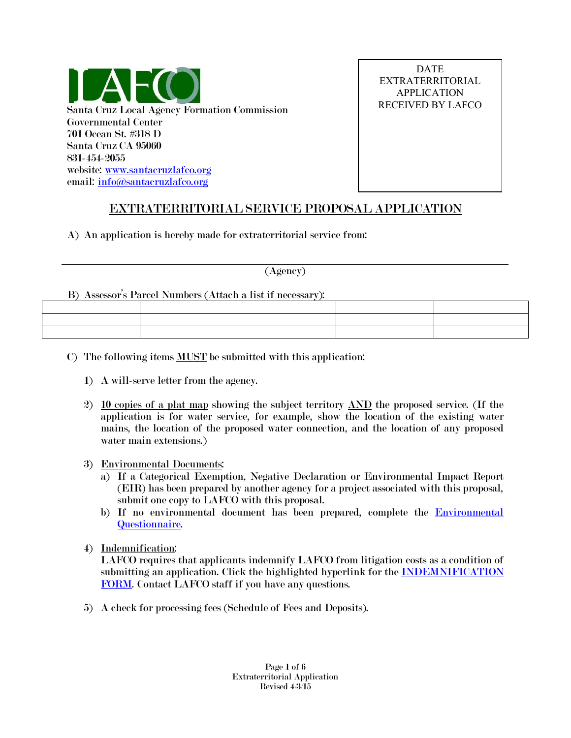

DATE EXTRATERRITORIAL APPLICATION RECEIVED BY LAFCO

# EXTRATERRITORIAL SERVICE PROPOSAL APPLICATION

A) An application is hereby made for extraterritorial service from:

#### (Agency)

### B) Assessor's Parcel Numbers (Attach a list if necessary):

- C) The following items MUST be submitted with this application:
	- 1) A will-serve letter from the agency.
	- 2) 10 copies of a plat map showing the subject territory  $\Delta N$  the proposed service. (If the application is for water service, for example, show the location of the existing water mains, the location of the proposed water connection, and the location of any proposed water main extensions.)
	- 3) Environmental Documents:
		- a) If a Categorical Exemption, Negative Declaration or Environmental Impact Report (EIR) has been prepared by another agency for a project associated with this proposal, submit one copy to LAFCO with this proposal.
		- b) If no environmental document has been prepared, complete the **Environmental** [Questionnaire.](https://www.santacruzlafco.org/wp-content/uploads/2015/09/Environmental-Questionnaire.pdf)
	- 4) Indemnification:

LAFCO requires that applicants indemnify LAFCO from litigation costs as a condition of submitting an application. Click the highlighted hyperlink for the **INDEMNIFICATION** [FORM.](https://www.santacruzlafco.org/wp-content/uploads/2020/07/Indemnification-Form-2-7-20.pdf) Contact LAFCO staff if you have any questions.

5) A check for processing fees (Schedule of Fees and Deposits).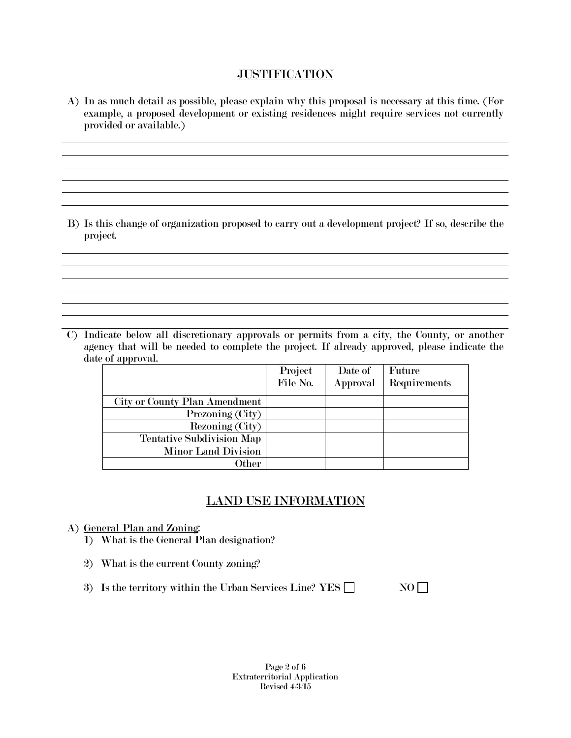## **JUSTIFICATION**

A) In as much detail as possible, please explain why this proposal is necessary at this time. (For example, a proposed development or existing residences might require services not currently provided or available.)

B) Is this change of organization proposed to carry out a development project? If so, describe the project.

<u> 1989 - Johann Stoff, amerikansk politiker (d. 1989)</u>

<u> 1989 - Johann Stoff, deutscher Stoffen und der Stoffen und der Stoffen und der Stoffen und der Stoffen und d</u>

C) Indicate below all discretionary approvals or permits from a city, the County, or another agency that will be needed to complete the project. If already approved, please indicate the date of approval.

|                                  | Project  | Date of  | Future       |
|----------------------------------|----------|----------|--------------|
|                                  | File No. | Approval | Requirements |
| City or County Plan Amendment    |          |          |              |
| Prezoning (City)                 |          |          |              |
| Rezoning (City)                  |          |          |              |
| <b>Tentative Subdivision Map</b> |          |          |              |
| <b>Minor Land Division</b>       |          |          |              |
| Other                            |          |          |              |

# LAND USE INFORMATION

- A) General Plan and Zoning:
	- 1) What is the General Plan designation?
	- 2) What is the current County zoning?
	- 3) Is the territory within the Urban Services Line? YES  $\Box$  NO

Page 2 of 6 Extraterritorial Application Revised 4/3/15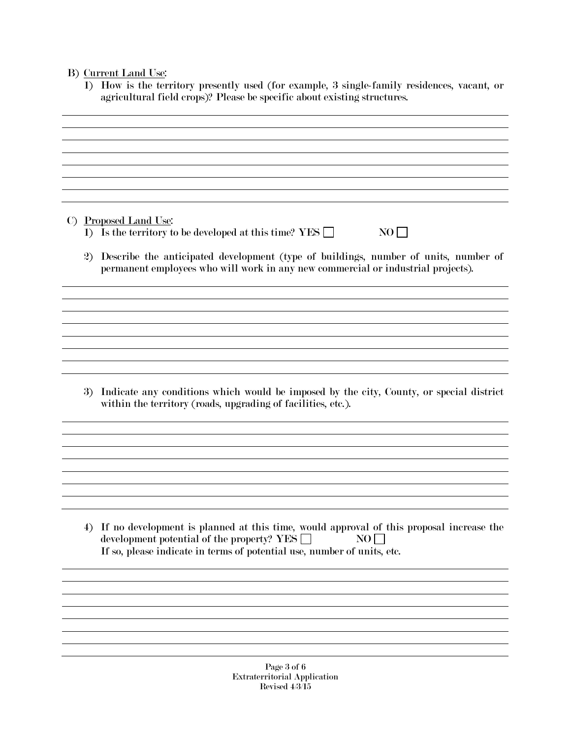### B) Current Land Use:

1) How is the territory presently used (for example, 3 single-family residences, vacant, or agricultural field crops)? Please be specific about existing structures.

C) Proposed Land Use:

- 1) Is the territory to be developed at this time? YES  $\Box$  NO  $\Box$
- 2) Describe the anticipated development (type of buildings, number of units, number of permanent employees who will work in any new commercial or industrial projects).

3) Indicate any conditions which would be imposed by the city, County, or special district within the territory (roads, upgrading of facilities, etc.).

<u> 1989 - Andrea Station Barbara, amerikan personal di sebagai personal di sebagai personal di sebagai personal </u>

4) If no development is planned at this time, would approval of this proposal increase the development potential of the property? YES  $\Box$  NO  $\Box$ If so, please indicate in terms of potential use, number of units, etc.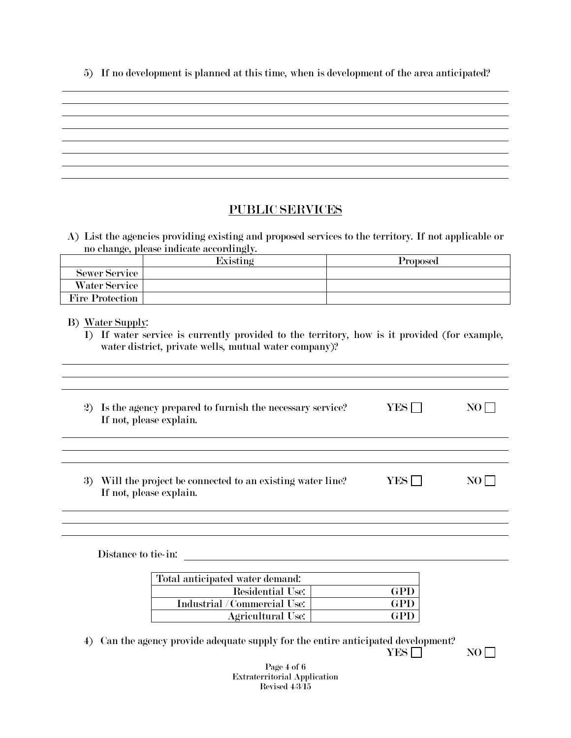5) If no development is planned at this time, when is development of the area anticipated?

and the control of the control of the control of the control of the control of the control of the control of the

# PUBLIC SERVICES

A) List the agencies providing existing and proposed services to the territory. If not applicable or no change, please indicate accordingly.

|                        | Existing | Proposed |
|------------------------|----------|----------|
| <b>Sewer Service</b>   |          |          |
| Water Service          |          |          |
| <b>Fire Protection</b> |          |          |

B) Water Supply:

1) If water service is currently provided to the territory, how is it provided (for example, water district, private wells, mutual water company)?

| 2) Is the agency prepared to furnish the necessary service?<br>If not, please explain.   | YES | NO |
|------------------------------------------------------------------------------------------|-----|----|
|                                                                                          |     |    |
| Will the project be connected to an existing water line?<br>3<br>If not, please explain. | YES |    |

Distance to tie-in:

| Total anticipated water demand: |     |
|---------------------------------|-----|
| Residential Use:                | GPD |
| Industrial / Commercial Use:    | GPD |
| <b>Agricultural Use:</b>        | GPD |

the control of the control of the control of the control of the control of the control of the control of the control of the control of the control of the control of the control of the control of the control of the control

4) Can the agency provide adequate supply for the entire anticipated development?

 $YES \Box$  NO

Page 4 of 6 Extraterritorial Application Revised 4/3/15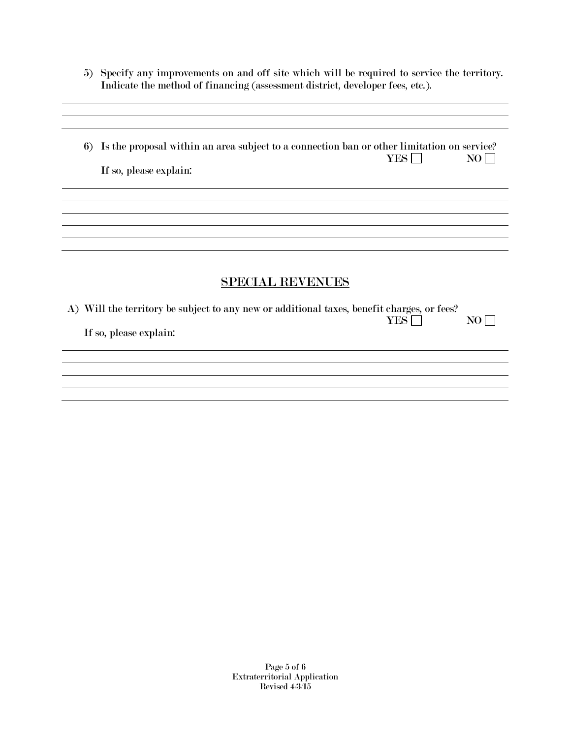5) Specify any improvements on and off site which will be required to service the territory. Indicate the method of financing (assessment district, developer fees, etc.).

and the control of the control of the control of the control of the control of the control of the control of the

6) Is the proposal within an area subject to a connection ban or other limitation on service?  $YES \tNOR$ If so, please explain:

### SPECIAL REVENUES

| A) Will the territory be subject to any new or additional taxes, benefit charges, or fees? |       |      |
|--------------------------------------------------------------------------------------------|-------|------|
|                                                                                            | YES I | $NO$ |
| If so, please explain:                                                                     |       |      |
|                                                                                            |       |      |

Page 5 of 6 Extraterritorial Application Revised 4/3/15